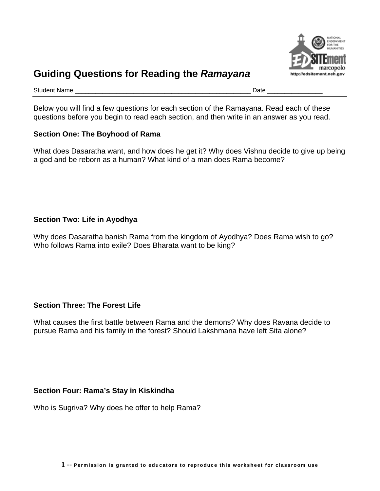

# **Guiding Questions for Reading the** *Ramayana*

Student Name \_\_\_\_\_\_\_\_\_\_\_\_\_\_\_\_\_\_\_\_\_\_\_\_\_\_\_\_\_\_\_\_\_\_\_\_\_\_\_\_\_\_\_\_\_\_\_\_\_\_\_ Date \_\_\_\_\_\_\_\_\_\_\_\_\_\_\_\_

Below you will find a few questions for each section of the Ramayana. Read each of these questions before you begin to read each section, and then write in an answer as you read.

#### **Section One: The Boyhood of Rama**

What does Dasaratha want, and how does he get it? Why does Vishnu decide to give up being a god and be reborn as a human? What kind of a man does Rama become?

## **Section Two: Life in Ayodhya**

Why does Dasaratha banish Rama from the kingdom of Ayodhya? Does Rama wish to go? Who follows Rama into exile? Does Bharata want to be king?

## **Section Three: The Forest Life**

What causes the first battle between Rama and the demons? Why does Ravana decide to pursue Rama and his family in the forest? Should Lakshmana have left Sita alone?

## **Section Four: Rama's Stay in Kiskindha**

Who is Sugriva? Why does he offer to help Rama?